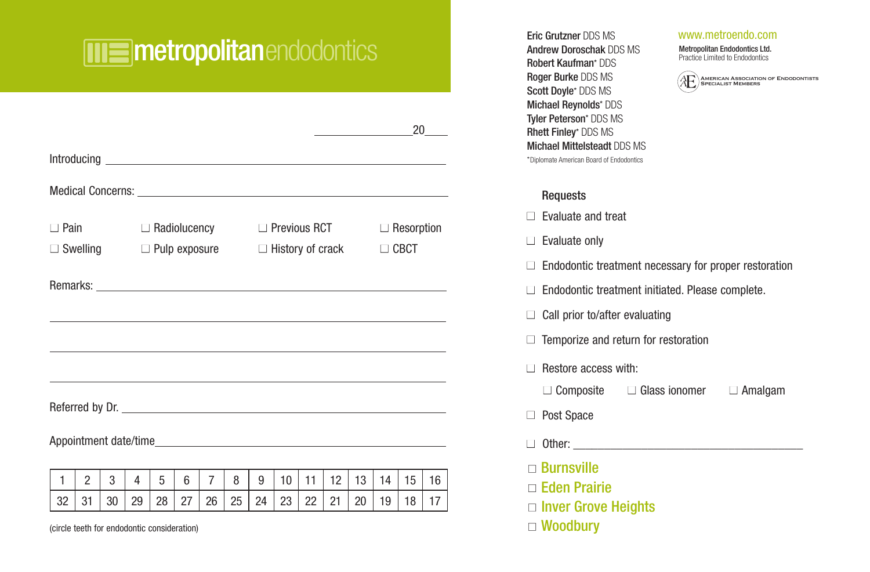# metropolitanendodontics Eric Grutzner DDS MS

|                                             |                |    |    |                                      |    |                |    |    |                         |    |    |    |    | 20                |    |  |
|---------------------------------------------|----------------|----|----|--------------------------------------|----|----------------|----|----|-------------------------|----|----|----|----|-------------------|----|--|
|                                             |                |    |    |                                      |    |                |    |    |                         |    |    |    |    |                   |    |  |
|                                             |                |    |    |                                      |    |                |    |    |                         |    |    |    |    |                   |    |  |
|                                             |                |    |    |                                      |    |                |    |    |                         |    |    |    |    |                   |    |  |
| $\Box$ Pain                                 |                |    |    | $\Box$ Radiolucency                  |    |                |    |    | $\Box$ Previous RCT     |    |    |    |    | $\Box$ Resorption |    |  |
|                                             |                |    |    | $\Box$ Swelling $\Box$ Pulp exposure |    |                |    |    | $\Box$ History of crack |    |    |    |    | $\Box$ CBCT       |    |  |
|                                             |                |    |    |                                      |    |                |    |    |                         |    |    |    |    |                   |    |  |
|                                             |                |    |    |                                      |    |                |    |    |                         |    |    |    |    |                   |    |  |
|                                             |                |    |    |                                      |    |                |    |    |                         |    |    |    |    |                   |    |  |
|                                             |                |    |    |                                      |    |                |    |    |                         |    |    |    |    |                   |    |  |
|                                             |                |    |    |                                      |    |                |    |    |                         |    |    |    |    |                   |    |  |
|                                             |                |    |    |                                      |    |                |    |    |                         |    |    |    |    |                   |    |  |
|                                             |                |    |    |                                      |    |                |    |    |                         |    |    |    |    |                   |    |  |
|                                             |                |    |    |                                      |    |                |    |    |                         |    |    |    |    |                   |    |  |
|                                             |                |    |    |                                      |    |                |    |    |                         |    |    |    |    |                   |    |  |
| $\mathbf{1}$                                | $\mathfrak{p}$ | 3  | 4  | 5                                    | 6  | $\overline{7}$ | 8  | 9  | 10                      | 11 | 12 | 13 | 14 | 15                | 16 |  |
| 32                                          | 31             | 30 | 29 | 28                                   | 27 | 26             | 25 | 24 | 23                      | 22 | 21 | 20 | 19 | 18                | 17 |  |
| (circle teeth for endodontic consideration) |                |    |    |                                      |    |                |    |    |                         |    |    |    |    |                   |    |  |

Andrew Doroschak DDS MS Robert Kaufman\* DDS Roger Burke DDS MS Scott Doyle\* DDS MS Michael Reynolds\* DDS Tyler Peterson\* DDS MS Rhett Finley\* DDS MS Michael Mittelsteadt DDS MS \*Diplomate American Board of Endodontics

#### www.metroendo.com

Metropolitan Endodontics Ltd. Practice Limited to Endodontics



#### Requests

 $\Box$  Evaluate and treat

- $\Box$  Evaluate only
- $\Box$  Endodontic treatment necessary for proper restoration
- $\Box$  Endodontic treatment initiated. Please complete.
- $\Box$  Call prior to/after evaluating
- $\Box$  Temporize and return for restoration
- $\Box$  Restore access with:
- $\Box$  Composite  $\Box$  Glass ionomer  $\Box$  Amalgam
- □ Post Space
- $\Box$  Other:
- n Burnsville
- n Eden Prairie
- $\Box$  Inver Grove Heights
- □ Woodbury